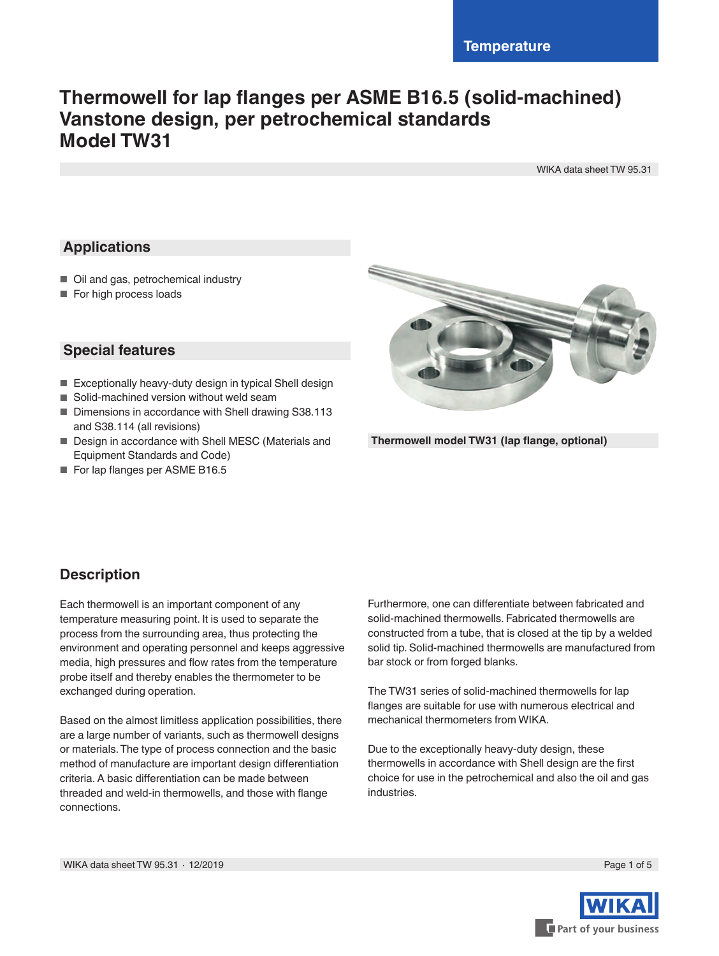# **Thermowell for lap flanges per ASME B16.5 (solid-machined) Vanstone design, per petrochemical standards Model TW31**

WIKA data sheet TW 95.31

# **Applications**

- Oil and gas, petrochemical industry
- For high process loads

### **Special features**

- Exceptionally heavy-duty design in typical Shell design
- Solid-machined version without weld seam
- Dimensions in accordance with Shell drawing S38.113 and S38.114 (all revisions)
- Design in accordance with Shell MESC (Materials and Equipment Standards and Code)
- For lap flanges per ASME B16.5



**Thermowell model TW31 (lap flange, optional)**

# **Description**

Each thermowell is an important component of any temperature measuring point. It is used to separate the process from the surrounding area, thus protecting the environment and operating personnel and keeps aggressive media, high pressures and flow rates from the temperature probe itself and thereby enables the thermometer to be exchanged during operation.

Based on the almost limitless application possibilities, there are a large number of variants, such as thermowell designs or materials. The type of process connection and the basic method of manufacture are important design differentiation criteria. A basic differentiation can be made between threaded and weld-in thermowells, and those with flange connections.

Furthermore, one can differentiate between fabricated and solid-machined thermowells. Fabricated thermowells are constructed from a tube, that is closed at the tip by a welded solid tip. Solid-machined thermowells are manufactured from bar stock or from forged blanks.

The TW31 series of solid-machined thermowells for lap flanges are suitable for use with numerous electrical and mechanical thermometers from WIKA.

Due to the exceptionally heavy-duty design, these thermowells in accordance with Shell design are the first choice for use in the petrochemical and also the oil and gas industries.

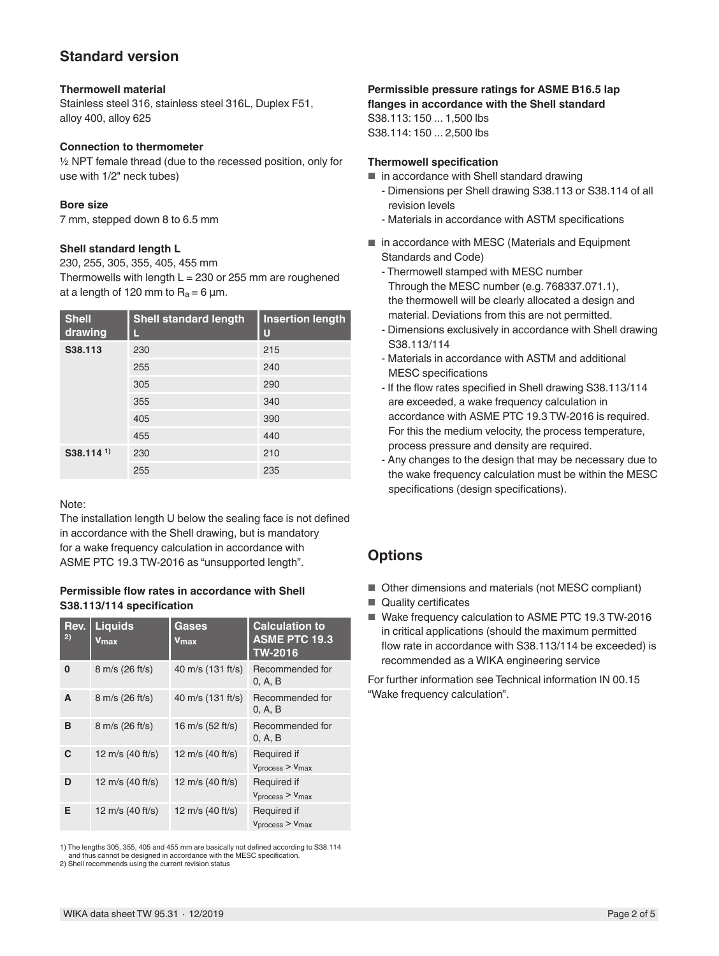# **Standard version**

#### **Thermowell material**

Stainless steel 316, stainless steel 316L, Duplex F51, alloy 400, alloy 625

#### **Connection to thermometer**

½ NPT female thread (due to the recessed position, only for use with 1/2" neck tubes)

#### **Bore size**

7 mm, stepped down 8 to 6.5 mm

#### **Shell standard length L**

230, 255, 305, 355, 405, 455 mm Thermowells with length  $L = 230$  or 255 mm are roughened at a length of 120 mm to  $R_a = 6 \mu m$ .

| <b>Shell</b><br>drawing | <b>Shell standard length</b> | <b>Insertion length</b><br>U |
|-------------------------|------------------------------|------------------------------|
| S38.113                 | 230                          | 215                          |
|                         | 255                          | 240                          |
|                         | 305                          | 290                          |
|                         | 355                          | 340                          |
|                         | 405                          | 390                          |
|                         | 455                          | 440                          |
| $S38.114$ <sup>1)</sup> | 230                          | 210                          |
|                         | 255                          | 235                          |

Note:

The installation length U below the sealing face is not defined in accordance with the Shell drawing, but is mandatory for a wake frequency calculation in accordance with ASME PTC 19.3 TW-2016 as "unsupported length".

#### **Permissible flow rates in accordance with Shell S38.113/114 specification**

| Rev.<br>2) | <b>Liquids</b><br>Vmax | Gases<br>$Y$ max   | <b>Calculation to</b><br><b>ASME PTC 19.3</b><br><b>TW-2016</b> |
|------------|------------------------|--------------------|-----------------------------------------------------------------|
| 0          | 8 m/s (26 ft/s)        | 40 m/s (131 ft/s)  | Recommended for<br>0, A, B                                      |
| A          | 8 m/s (26 ft/s)        | 40 m/s (131 ft/s)  | Recommended for<br>0, A, B                                      |
| в          | 8 m/s (26 ft/s)        | 16 m/s $(52 ft/s)$ | Recommended for<br>0. A. B                                      |
| C          | 12 m/s (40 ft/s)       | 12 m/s (40 ft/s)   | Required if<br>V <sub>process</sub> > V <sub>max</sub>          |
| D          | 12 m/s $(40 ft/s)$     | 12 m/s $(40 ft/s)$ | Required if<br>V <sub>process</sub> > V <sub>max</sub>          |
| Е          | 12 m/s $(40 ft/s)$     | 12 m/s $(40 ft/s)$ | Required if<br>V <sub>process</sub> > V <sub>max</sub>          |

1) The lengths 305, 355, 405 and 455 mm are basically not defined according to S38.114 and thus cannot be designed in accordance with the MESC specification. 2) Shell recommends using the current revision status

### **Permissible pressure ratings for ASME B16.5 lap**

**flanges in accordance with the Shell standard**

S38.113: 150 ... 1,500 lbs S38.114: 150 ... 2,500 lbs

#### **Thermowell specification**

■ in accordance with Shell standard drawing

- Dimensions per Shell drawing S38.113 or S38.114 of all revision levels
- Materials in accordance with ASTM specifications
- in accordance with MESC (Materials and Equipment Standards and Code)
	- Thermowell stamped with MESC number Through the MESC number (e.g. 768337.071.1), the thermowell will be clearly allocated a design and material. Deviations from this are not permitted.
	- Dimensions exclusively in accordance with Shell drawing S38.113/114
	- Materials in accordance with ASTM and additional MESC specifications
	- If the flow rates specified in Shell drawing S38.113/114 are exceeded, a wake frequency calculation in accordance with ASME PTC 19.3 TW-2016 is required. For this the medium velocity, the process temperature, process pressure and density are required.
	- Any changes to the design that may be necessary due to the wake frequency calculation must be within the MESC specifications (design specifications).

# **Options**

- Other dimensions and materials (not MESC compliant)
- Quality certificates
- Wake frequency calculation to ASME PTC 19.3 TW-2016 in critical applications (should the maximum permitted flow rate in accordance with S38.113/114 be exceeded) is recommended as a WIKA engineering service

For further information see Technical information IN 00.15 "Wake frequency calculation".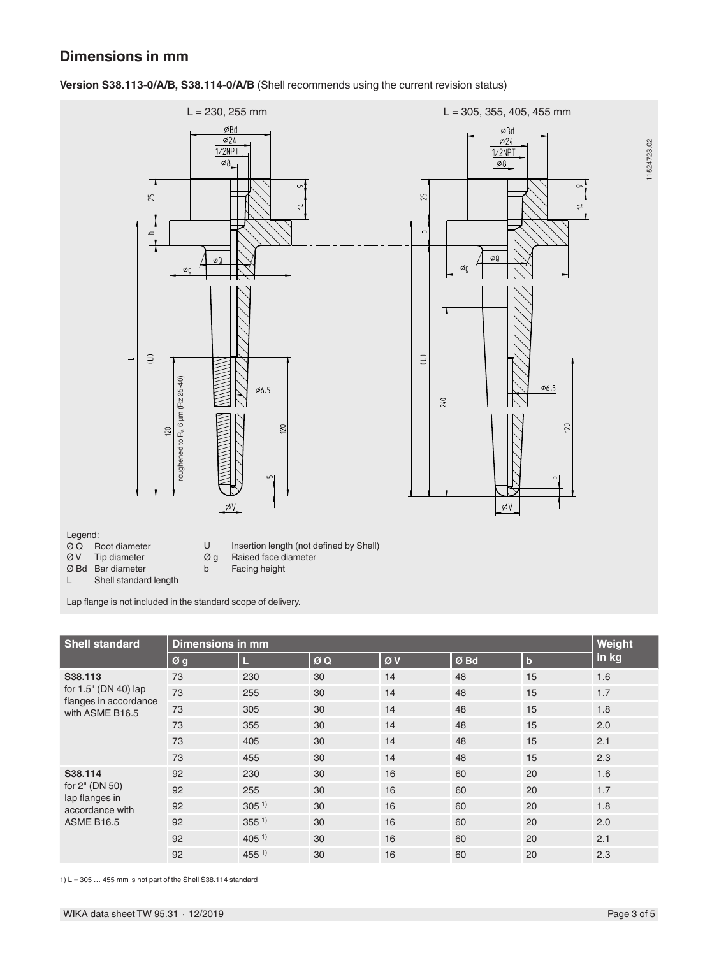### **Dimensions in mm**



**Version S38.113-0/A/B, S38.114-0/A/B** (Shell recommends using the current revision status)

Lap flange is not included in the standard scope of delivery.

| <b>Shell standard</b>                                                               | Weight<br>Dimensions in mm |                  |    |    |      |                |       |
|-------------------------------------------------------------------------------------|----------------------------|------------------|----|----|------|----------------|-------|
|                                                                                     | Øg                         | Ш                | ØQ | ØV | Ø Bd | $\overline{b}$ | in kg |
| S38.113<br>for 1.5" (DN 40) lap<br>flanges in accordance<br>with ASME B16.5         | 73                         | 230              | 30 | 14 | 48   | 15             | 1.6   |
|                                                                                     | 73                         | 255              | 30 | 14 | 48   | 15             | 1.7   |
|                                                                                     | 73                         | 305              | 30 | 14 | 48   | 15             | 1.8   |
|                                                                                     | 73                         | 355              | 30 | 14 | 48   | 15             | 2.0   |
|                                                                                     | 73                         | 405              | 30 | 14 | 48   | 15             | 2.1   |
|                                                                                     | 73                         | 455              | 30 | 14 | 48   | 15             | 2.3   |
| S38.114<br>for 2" (DN 50)<br>lap flanges in<br>accordance with<br><b>ASME B16.5</b> | 92                         | 230              | 30 | 16 | 60   | 20             | 1.6   |
|                                                                                     | 92                         | 255              | 30 | 16 | 60   | 20             | 1.7   |
|                                                                                     | 92                         | $305^{11}$       | 30 | 16 | 60   | 20             | 1.8   |
|                                                                                     | 92                         | 355 <sup>1</sup> | 30 | 16 | 60   | 20             | 2.0   |
|                                                                                     | 92                         | $405^{11}$       | 30 | 16 | 60   | 20             | 2.1   |
|                                                                                     | 92                         | $455^{1}$        | 30 | 16 | 60   | 20             | 2.3   |

1)  $L = 305...455$  mm is not part of the Shell S38.114 standard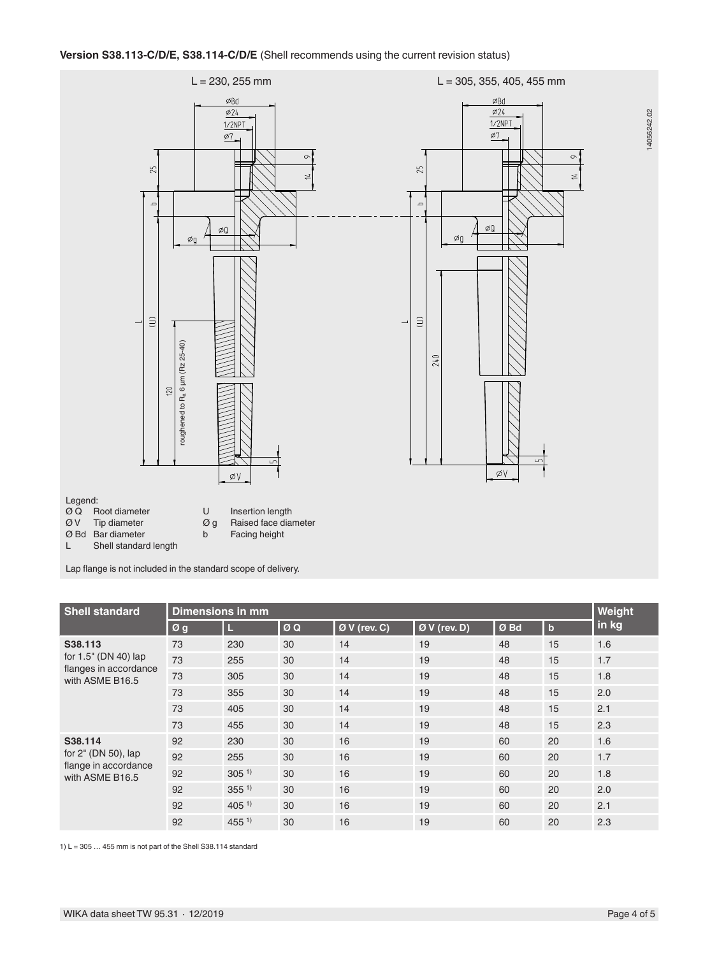

Lap flange is not included in the standard scope of delivery.

| <b>Shell standard</b>                                                     | Dimensions in mm |            |    |               |                          |      |             | Weight |
|---------------------------------------------------------------------------|------------------|------------|----|---------------|--------------------------|------|-------------|--------|
|                                                                           | Øg               | Ш          | ØQ | $ØV$ (rev. C) | $\varnothing$ V (rev. D) | Ø Bd | $\mathbf b$ | in kg  |
| S38.113<br>for 1.5" (DN 40) lap                                           | 73               | 230        | 30 | 14            | 19                       | 48   | 15          | 1.6    |
|                                                                           | 73               | 255        | 30 | 14            | 19                       | 48   | 15          | 1.7    |
| flanges in accordance<br>with ASME B16.5                                  | 73               | 305        | 30 | 14            | 19                       | 48   | 15          | 1.8    |
|                                                                           | 73               | 355        | 30 | 14            | 19                       | 48   | 15          | 2.0    |
|                                                                           | 73               | 405        | 30 | 14            | 19                       | 48   | 15          | 2.1    |
|                                                                           | 73               | 455        | 30 | 14            | 19                       | 48   | 15          | 2.3    |
| S38.114<br>for 2" (DN 50), lap<br>flange in accordance<br>with ASME B16.5 | 92               | 230        | 30 | 16            | 19                       | 60   | 20          | 1.6    |
|                                                                           | 92               | 255        | 30 | 16            | 19                       | 60   | 20          | 1.7    |
|                                                                           | 92               | $305^{1}$  | 30 | 16            | 19                       | 60   | 20          | 1.8    |
|                                                                           | 92               | $355^{1}$  | 30 | 16            | 19                       | 60   | 20          | 2.0    |
|                                                                           | 92               | $405^{11}$ | 30 | 16            | 19                       | 60   | 20          | 2.1    |
|                                                                           | 92               | $455^{1}$  | 30 | 16            | 19                       | 60   | 20          | 2.3    |

1)  $L = 305...455$  mm is not part of the Shell S38.114 standard

14056242.02

 $\circ$ 

 $\frac{1}{2}$ 

14056242.02